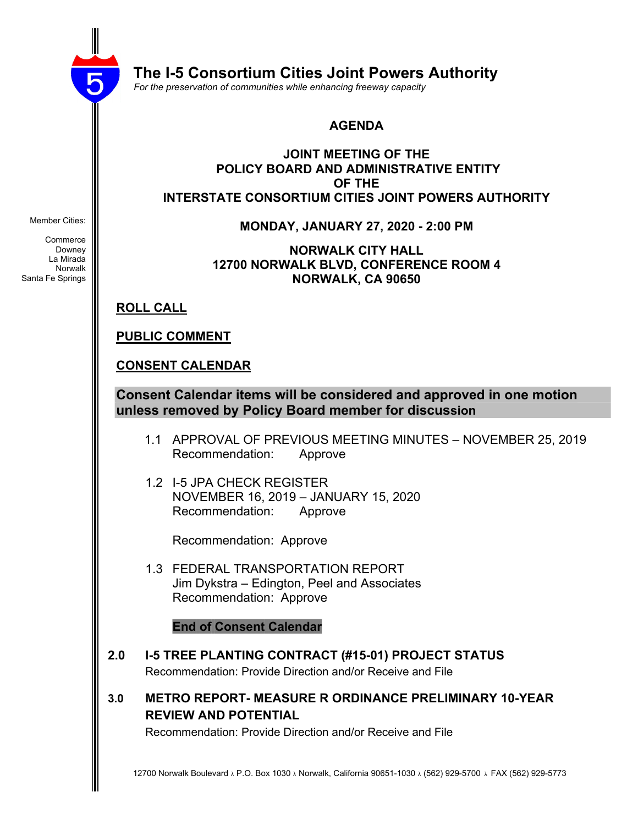

 **The I-5 Consortium Cities Joint Powers Authority**

 *For the preservation of communities while enhancing freeway capacity*

#### **AGENDA**

#### **JOINT MEETING OF THE POLICY BOARD AND ADMINISTRATIVE ENTITY OF THE INTERSTATE CONSORTIUM CITIES JOINT POWERS AUTHORITY**

**MONDAY, JANUARY 27, 2020 - 2:00 PM**

**NORWALK CITY HALL 12700 NORWALK BLVD, CONFERENCE ROOM 4 NORWALK, CA 90650**

**ROLL CALL**

**PUBLIC COMMENT**

## **CONSENT CALENDAR**

**Consent Calendar items will be considered and approved in one motion unless removed by Policy Board member for discussion**

- 1.1 APPROVAL OF PREVIOUS MEETING MINUTES NOVEMBER 25, 2019 Recommendation: Approve
- 1.2 I-5 JPA CHECK REGISTER NOVEMBER 16, 2019 – JANUARY 15, 2020 Recommendation: Approve

Recommendation: Approve

 1.3 FEDERAL TRANSPORTATION REPORT Jim Dykstra – Edington, Peel and Associates Recommendation: Approve

**End of Consent Calendar**

- **2.0 I-5 TREE PLANTING CONTRACT (#15-01) PROJECT STATUS** Recommendation: Provide Direction and/or Receive and File
- **3.0 METRO REPORT- MEASURE R ORDINANCE PRELIMINARY 10-YEAR REVIEW AND POTENTIAL**

Recommendation: Provide Direction and/or Receive and File

Member Cities:

**Commerce** Downey La Mirada Norwalk Santa Fe Springs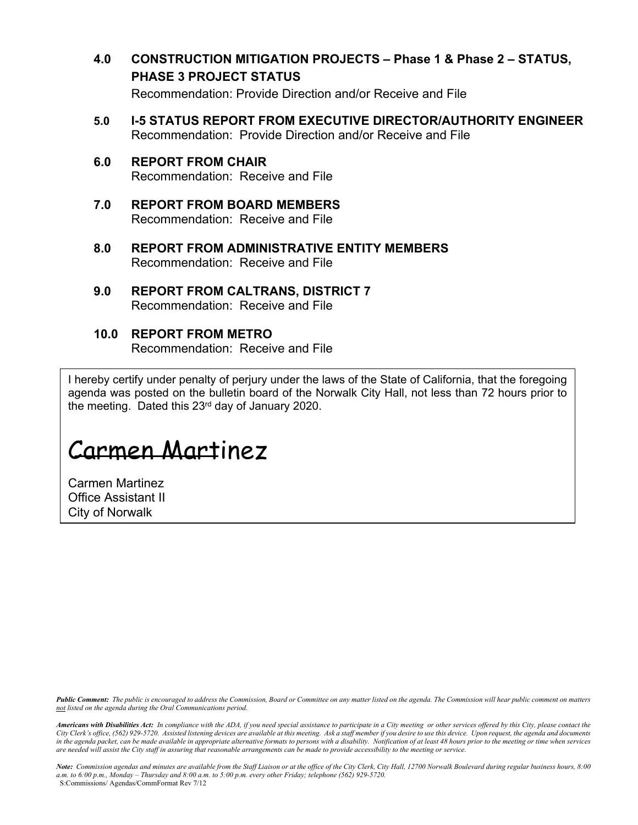**4.0 CONSTRUCTION MITIGATION PROJECTS – Phase 1 & Phase 2 – STATUS, PHASE 3 PROJECT STATUS**

Recommendation: Provide Direction and/or Receive and File

- **5.0 I-5 STATUS REPORT FROM EXECUTIVE DIRECTOR/AUTHORITY ENGINEER** Recommendation: Provide Direction and/or Receive and File
- **6.0 REPORT FROM CHAIR** Recommendation: Receive and File
- **7.0 REPORT FROM BOARD MEMBERS** Recommendation: Receive and File
- **8.0 REPORT FROM ADMINISTRATIVE ENTITY MEMBERS** Recommendation: Receive and File
- **9.0 REPORT FROM CALTRANS, DISTRICT 7** Recommendation: Receive and File

## **10.0 REPORT FROM METRO**

Recommendation: Receive and File

I hereby certify under penalty of perjury under the laws of the State of California, that the foregoing agenda was posted on the bulletin board of the Norwalk City Hall, not less than 72 hours prior to the meeting. Dated this 23<sup>rd</sup> day of January 2020.

# Carmen Martinez

Carmen Martinez Office Assistant II City of Norwalk

Public Comment: The public is encouraged to address the Commission, Board or Committee on any matter listed on the agenda. The Commission will hear public comment on matters *not listed on the agenda during the Oral Communications period.*

Americans with Disabilities Act: In compliance with the ADA, if you need special assistance to participate in a City meeting or other services offered by this City, please contact the City Clerk's office, (562) 929-5720. Assisted listening devices are available at this meeting. Ask a staff member if you desire to use this device. Upon request, the agenda and documents in the agenda packet, can be made available in appropriate alternative formats to persons with a disability. Notification of at least 48 hours prior to the meeting or time when services are needed will assist the City staff in assuring that reasonable arrangements can be made to provide accessibility to the meeting or service.

Note: Commission agendas and minutes are available from the Staff Liaison or at the office of the City Clerk, City Hall, 12700 Norwalk Boulevard during regular business hours, 8:00 a.m. to  $6.00$  p.m., Monday - Thursday and  $8.00$  a.m. to  $5.00$  p.m. every other Friday; telephone (562) 929-5720. S:Commissions/ Agendas/CommFormat Rev 7/12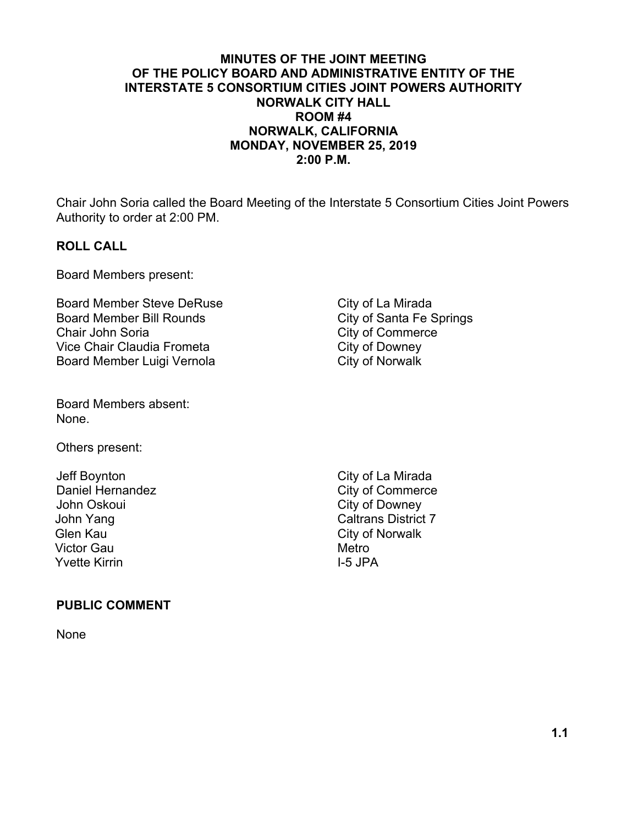#### **MINUTES OF THE JOINT MEETING OF THE POLICY BOARD AND ADMINISTRATIVE ENTITY OF THE INTERSTATE 5 CONSORTIUM CITIES JOINT POWERS AUTHORITY NORWALK CITY HALL ROOM #4 NORWALK, CALIFORNIA MONDAY, NOVEMBER 25, 2019 2:00 P.M.**

Chair John Soria called the Board Meeting of the Interstate 5 Consortium Cities Joint Powers Authority to order at 2:00 PM.

#### **ROLL CALL**

Board Members present:

Board Member Steve DeRuse City of La Mirada Board Member Bill Rounds<br>
City of Santa Fe Springs Chair John Soria<br>
Vice Chair Claudia Frometa<br>
City of Downey Vice Chair Claudia Frometa Board Member Luigi Vernola City of Norwalk

Board Members absent: None.

Others present:

Jeff Boynton City of La Mirada Daniel Hernandez City of Commerce John Oskoui **City of Downey** John Yang Caltrans District 7 Glen Kau **City of Norwalk** Victor Gau **Metro** Metro Yvette Kirrin **I-5 JPA** 

#### **PUBLIC COMMENT**

None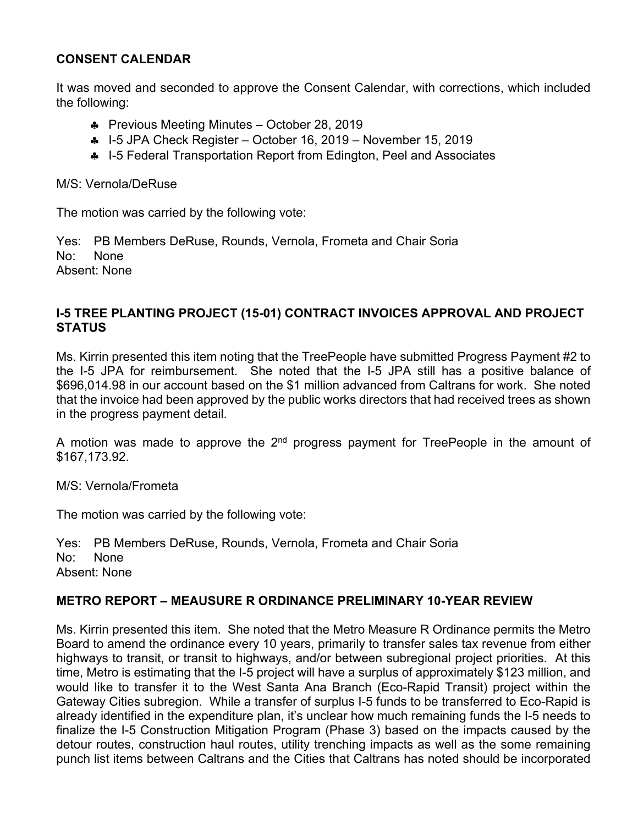## **CONSENT CALENDAR**

It was moved and seconded to approve the Consent Calendar, with corrections, which included the following:

- Previous Meeting Minutes October 28, 2019
- $\bullet$  I-5 JPA Check Register October 16, 2019 November 15, 2019
- 4 I-5 Federal Transportation Report from Edington, Peel and Associates

M/S: Vernola/DeRuse

The motion was carried by the following vote:

Yes: PB Members DeRuse, Rounds, Vernola, Frometa and Chair Soria No: None Absent: None

#### **I-5 TREE PLANTING PROJECT (15-01) CONTRACT INVOICES APPROVAL AND PROJECT STATUS**

Ms. Kirrin presented this item noting that the TreePeople have submitted Progress Payment #2 to the I-5 JPA for reimbursement. She noted that the I-5 JPA still has a positive balance of \$696,014.98 in our account based on the \$1 million advanced from Caltrans for work. She noted that the invoice had been approved by the public works directors that had received trees as shown in the progress payment detail.

A motion was made to approve the  $2^{nd}$  progress payment for TreePeople in the amount of \$167,173.92.

M/S: Vernola/Frometa

The motion was carried by the following vote:

Yes: PB Members DeRuse, Rounds, Vernola, Frometa and Chair Soria No: None Absent: None

#### **METRO REPORT – MEAUSURE R ORDINANCE PRELIMINARY 10-YEAR REVIEW**

Ms. Kirrin presented this item. She noted that the Metro Measure R Ordinance permits the Metro Board to amend the ordinance every 10 years, primarily to transfer sales tax revenue from either highways to transit, or transit to highways, and/or between subregional project priorities. At this time, Metro is estimating that the I-5 project will have a surplus of approximately \$123 million, and would like to transfer it to the West Santa Ana Branch (Eco-Rapid Transit) project within the Gateway Cities subregion. While a transfer of surplus I-5 funds to be transferred to Eco-Rapid is already identified in the expenditure plan, it's unclear how much remaining funds the I-5 needs to finalize the I-5 Construction Mitigation Program (Phase 3) based on the impacts caused by the detour routes, construction haul routes, utility trenching impacts as well as the some remaining punch list items between Caltrans and the Cities that Caltrans has noted should be incorporated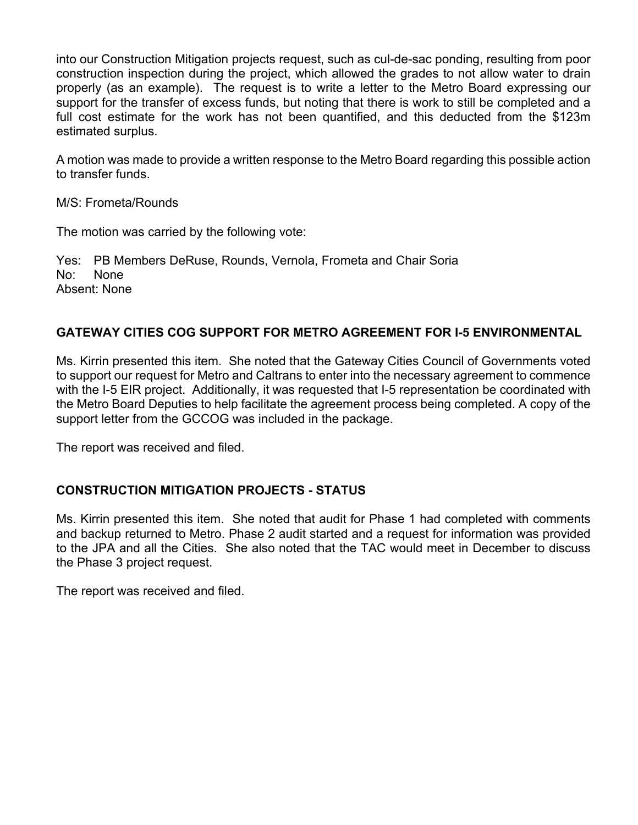into our Construction Mitigation projects request, such as cul-de-sac ponding, resulting from poor construction inspection during the project, which allowed the grades to not allow water to drain properly (as an example). The request is to write a letter to the Metro Board expressing our support for the transfer of excess funds, but noting that there is work to still be completed and a full cost estimate for the work has not been quantified, and this deducted from the \$123m estimated surplus.

A motion was made to provide a written response to the Metro Board regarding this possible action to transfer funds.

M/S: Frometa/Rounds

The motion was carried by the following vote:

Yes: PB Members DeRuse, Rounds, Vernola, Frometa and Chair Soria No: None Absent: None

#### **GATEWAY CITIES COG SUPPORT FOR METRO AGREEMENT FOR I-5 ENVIRONMENTAL**

Ms. Kirrin presented this item. She noted that the Gateway Cities Council of Governments voted to support our request for Metro and Caltrans to enter into the necessary agreement to commence with the I-5 EIR project. Additionally, it was requested that I-5 representation be coordinated with the Metro Board Deputies to help facilitate the agreement process being completed. A copy of the support letter from the GCCOG was included in the package.

The report was received and filed.

#### **CONSTRUCTION MITIGATION PROJECTS - STATUS**

Ms. Kirrin presented this item. She noted that audit for Phase 1 had completed with comments and backup returned to Metro. Phase 2 audit started and a request for information was provided to the JPA and all the Cities. She also noted that the TAC would meet in December to discuss the Phase 3 project request.

The report was received and filed.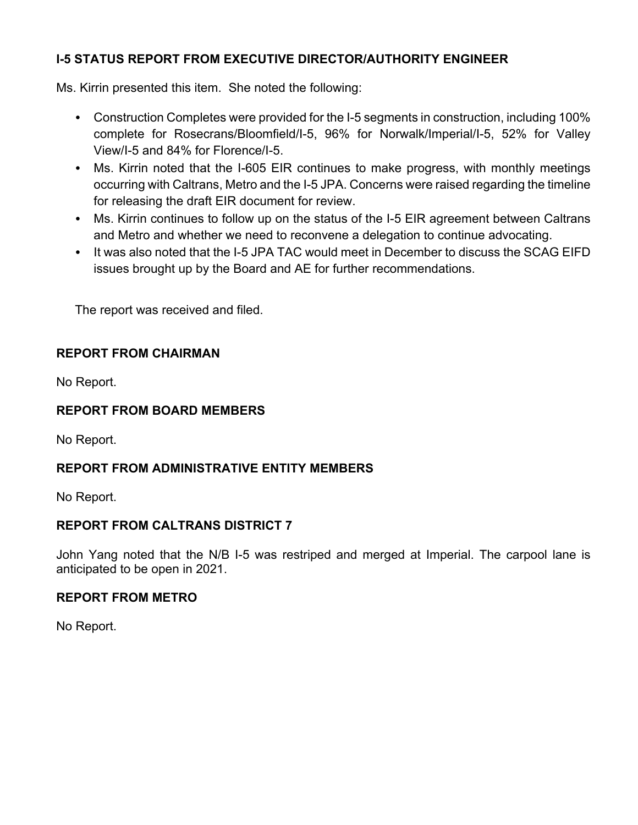## **I-5 STATUS REPORT FROM EXECUTIVE DIRECTOR/AUTHORITY ENGINEER**

Ms. Kirrin presented this item. She noted the following:

- Construction Completes were provided for the I-5 segments in construction, including 100% complete for Rosecrans/Bloomfield/I-5, 96% for Norwalk/Imperial/I-5, 52% for Valley View/I-5 and 84% for Florence/I-5.
- Ms. Kirrin noted that the I-605 EIR continues to make progress, with monthly meetings occurring with Caltrans, Metro and the I-5 JPA. Concerns were raised regarding the timeline for releasing the draft EIR document for review.
- Ms. Kirrin continues to follow up on the status of the I-5 EIR agreement between Caltrans and Metro and whether we need to reconvene a delegation to continue advocating.
- It was also noted that the I-5 JPA TAC would meet in December to discuss the SCAG EIFD issues brought up by the Board and AE for further recommendations.

The report was received and filed.

#### **REPORT FROM CHAIRMAN**

No Report.

#### **REPORT FROM BOARD MEMBERS**

No Report.

## **REPORT FROM ADMINISTRATIVE ENTITY MEMBERS**

No Report.

## **REPORT FROM CALTRANS DISTRICT 7**

John Yang noted that the N/B I-5 was restriped and merged at Imperial. The carpool lane is anticipated to be open in 2021.

#### **REPORT FROM METRO**

No Report.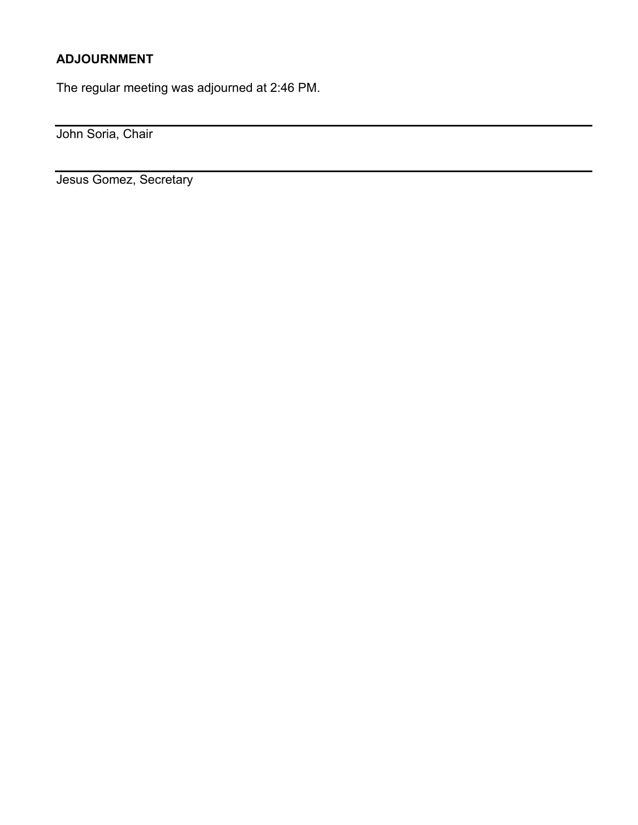## **ADJOURNMENT**

The regular meeting was adjourned at 2:46 PM.

John Soria, Chair

Jesus Gomez, Secretary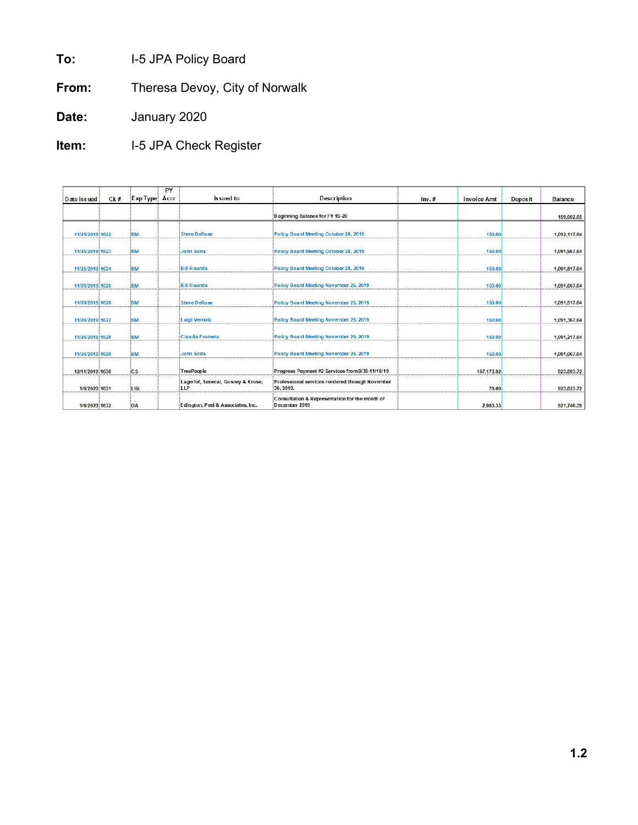**To:** I-5 JPA Policy Board

**From:** Theresa Devoy, City of Norwalk

**Date:** January 2020

**Item:** I-5 JPA Check Register

| Date Issued     | Ck# | Exp Type  | PY<br>Accr | <b>Issued</b> to                          | <b>Description</b>                                              | $Inv.$ # | <b>Invoice Amt</b> | <b>Deposit</b> | <b>Balance</b> |
|-----------------|-----|-----------|------------|-------------------------------------------|-----------------------------------------------------------------|----------|--------------------|----------------|----------------|
|                 |     |           |            |                                           | Beginning Balance for FY 19-20                                  |          |                    |                | 159,002.65     |
| 11/25/2019 1622 |     | BM        |            | <b>Steve DeRuse</b>                       | Policy Board Meeting October 28, 2019                           |          | 150.00             |                | 1,092,117.64   |
| 11/25/2019 1623 |     | <b>BM</b> |            | John Soria                                | Policy Board Meeting October 28, 2019                           |          | 150.00             |                | 1.091.967.64   |
| 11/25/2019 1624 |     | <b>BM</b> |            | <b>Bill Rounds</b>                        | Policy Board Meeting October 28, 2019                           |          | 150.00             |                | 1,091,817.64   |
| 11/26/2019 1625 |     | BM        |            | <b>Bill Rounds</b>                        | Policy Board Meeting November 25, 2019                          |          | 150.00             |                | 1.091.667.64   |
| 11/26/2019 1626 |     | <b>BM</b> |            | <b>Steve DeRuse</b>                       | Policy Board Meeting November 25, 2019                          |          | 150.00             |                | 1,091,517.64   |
| 11/26/2019 1627 |     | BM        |            | Luigi Vernola                             | Policy Board Meeting November 25, 2019                          |          | 150.00             |                | 1.091.367.64   |
| 11/26/2019 1628 |     | <b>BM</b> |            | Claudia Frometa                           | Policy Board Meeting November 25, 2019                          |          | 150.00             |                | 1,091,217.64   |
| 11/26/2019 1629 |     | <b>BM</b> |            | John Soria                                | Policy Board Meeting November 25, 2019                          |          | 150.00             |                | 1.091.067.64   |
| 12/11/2019 1630 |     | ics       |            | <b>TreePeople</b>                         | Progress Payment #2 Services from 9/30-11/16/19                 |          | 167.173.92         |                | 923.893.72     |
| 1/6/2020 1631   |     | LGL       |            | Lagerlof, Senecal, Gosney & Kruse,<br>LLP | Professional services rendered through November<br>30.2019.     |          | 70.00              |                | 923,823.72     |
| 1/6/2020 1632   |     | OA        |            | Edington, Peel & Associates, Inc.         | Consultation & Representation for the month of<br>December 2019 |          | 2.083.33           |                | 921,740.39     |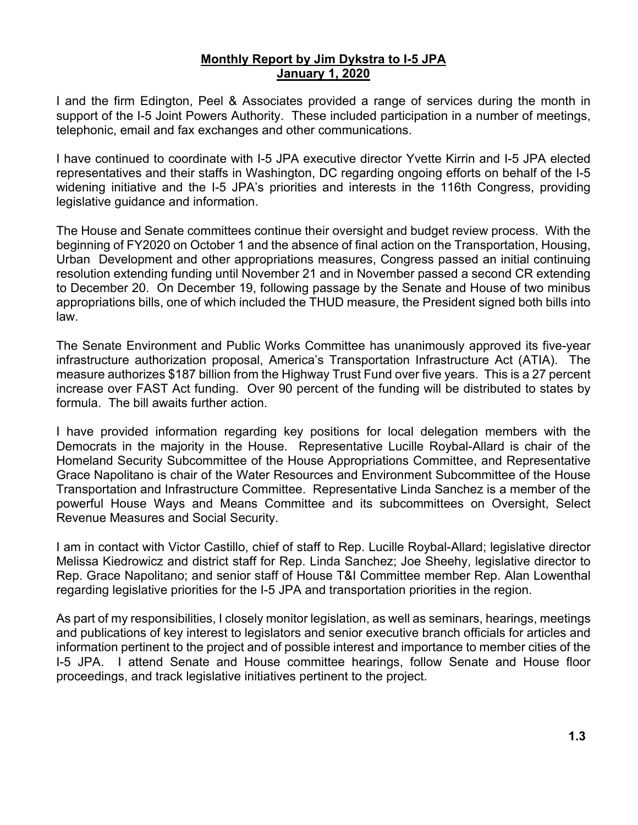#### **Monthly Report by Jim Dykstra to I-5 JPA January 1, 2020**

I and the firm Edington, Peel & Associates provided a range of services during the month in support of the I-5 Joint Powers Authority. These included participation in a number of meetings, telephonic, email and fax exchanges and other communications.

I have continued to coordinate with I-5 JPA executive director Yvette Kirrin and I-5 JPA elected representatives and their staffs in Washington, DC regarding ongoing efforts on behalf of the I-5 widening initiative and the I-5 JPA's priorities and interests in the 116th Congress, providing legislative guidance and information.

The House and Senate committees continue their oversight and budget review process. With the beginning of FY2020 on October 1 and the absence of final action on the Transportation, Housing, Urban Development and other appropriations measures, Congress passed an initial continuing resolution extending funding until November 21 and in November passed a second CR extending to December 20. On December 19, following passage by the Senate and House of two minibus appropriations bills, one of which included the THUD measure, the President signed both bills into law.

The Senate Environment and Public Works Committee has unanimously approved its five-year infrastructure authorization proposal, America's Transportation Infrastructure Act (ATIA). The measure authorizes \$187 billion from the Highway Trust Fund over five years. This is a 27 percent increase over FAST Act funding. Over 90 percent of the funding will be distributed to states by formula. The bill awaits further action.

I have provided information regarding key positions for local delegation members with the Democrats in the majority in the House. Representative Lucille Roybal-Allard is chair of the Homeland Security Subcommittee of the House Appropriations Committee, and Representative Grace Napolitano is chair of the Water Resources and Environment Subcommittee of the House Transportation and Infrastructure Committee. Representative Linda Sanchez is a member of the powerful House Ways and Means Committee and its subcommittees on Oversight, Select Revenue Measures and Social Security.

I am in contact with Victor Castillo, chief of staff to Rep. Lucille Roybal-Allard; legislative director Melissa Kiedrowicz and district staff for Rep. Linda Sanchez; Joe Sheehy, legislative director to Rep. Grace Napolitano; and senior staff of House T&I Committee member Rep. Alan Lowenthal regarding legislative priorities for the I-5 JPA and transportation priorities in the region.

As part of my responsibilities, I closely monitor legislation, as well as seminars, hearings, meetings and publications of key interest to legislators and senior executive branch officials for articles and information pertinent to the project and of possible interest and importance to member cities of the I-5 JPA. I attend Senate and House committee hearings, follow Senate and House floor proceedings, and track legislative initiatives pertinent to the project.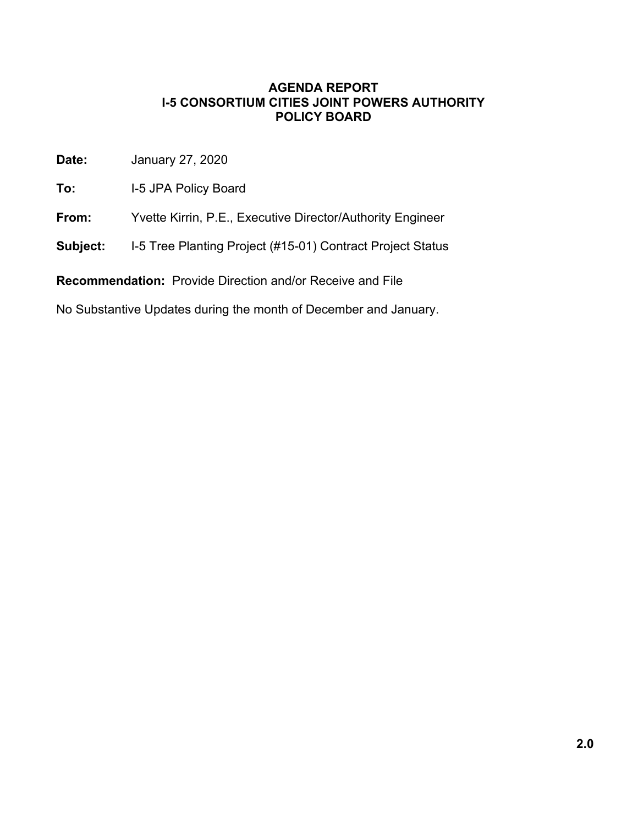**Date:** January 27, 2020

**To:** I-5 JPA Policy Board

**From:** Yvette Kirrin, P.E., Executive Director/Authority Engineer

**Subject:** I-5 Tree Planting Project (#15-01) Contract Project Status

**Recommendation:** Provide Direction and/or Receive and File

No Substantive Updates during the month of December and January.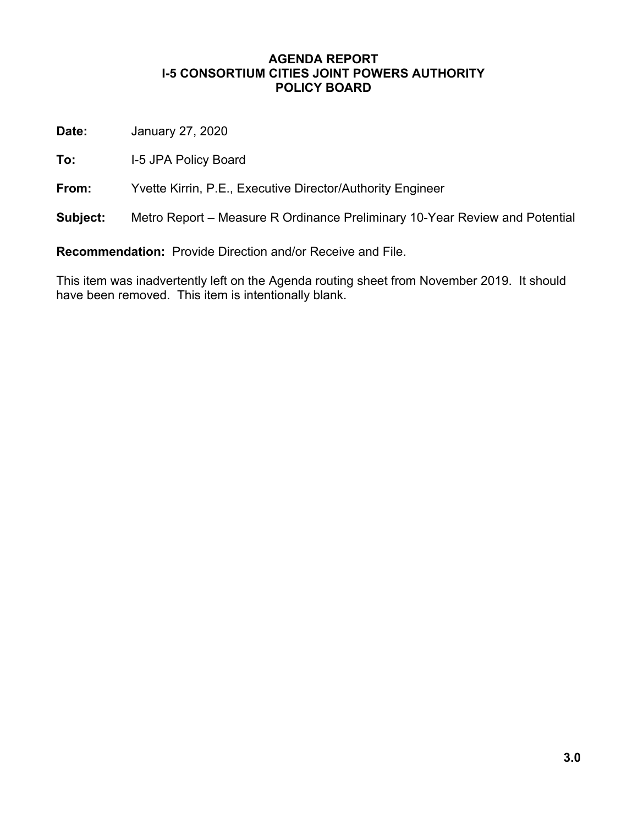**Date:** January 27, 2020

**To:** I-5 JPA Policy Board

**From:** Yvette Kirrin, P.E., Executive Director/Authority Engineer

**Subject:** Metro Report – Measure R Ordinance Preliminary 10-Year Review and Potential

**Recommendation:** Provide Direction and/or Receive and File.

This item was inadvertently left on the Agenda routing sheet from November 2019. It should have been removed. This item is intentionally blank.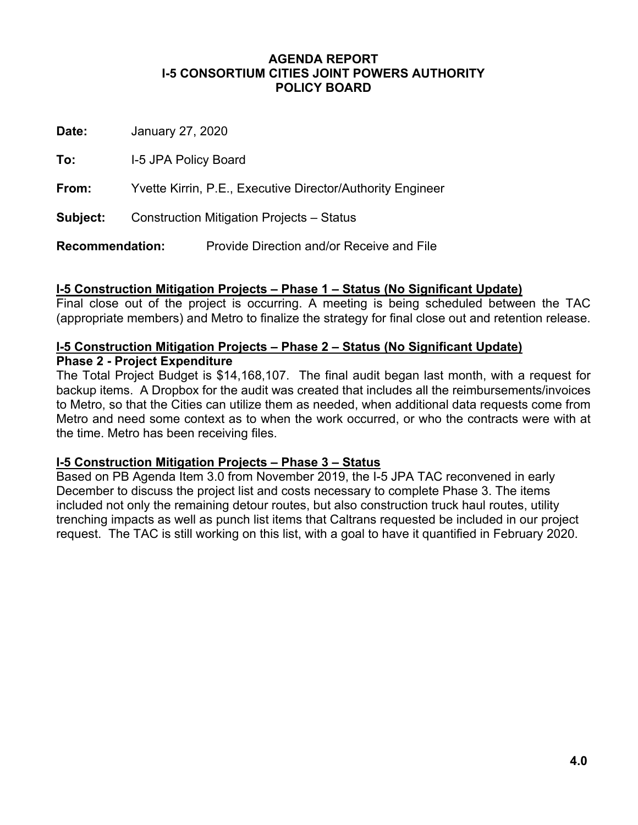**Date:** January 27, 2020

**To:** I-5 JPA Policy Board

**From:** Yvette Kirrin, P.E., Executive Director/Authority Engineer

**Subject:** Construction Mitigation Projects – Status

**Recommendation:** Provide Direction and/or Receive and File

#### **I-5 Construction Mitigation Projects – Phase 1 – Status (No Significant Update)**

Final close out of the project is occurring. A meeting is being scheduled between the TAC (appropriate members) and Metro to finalize the strategy for final close out and retention release.

#### **I-5 Construction Mitigation Projects – Phase 2 – Status (No Significant Update) Phase 2 - Project Expenditure**

The Total Project Budget is \$14,168,107. The final audit began last month, with a request for backup items. A Dropbox for the audit was created that includes all the reimbursements/invoices to Metro, so that the Cities can utilize them as needed, when additional data requests come from Metro and need some context as to when the work occurred, or who the contracts were with at the time. Metro has been receiving files.

#### **I-5 Construction Mitigation Projects – Phase 3 – Status**

Based on PB Agenda Item 3.0 from November 2019, the I-5 JPA TAC reconvened in early December to discuss the project list and costs necessary to complete Phase 3. The items included not only the remaining detour routes, but also construction truck haul routes, utility trenching impacts as well as punch list items that Caltrans requested be included in our project request. The TAC is still working on this list, with a goal to have it quantified in February 2020.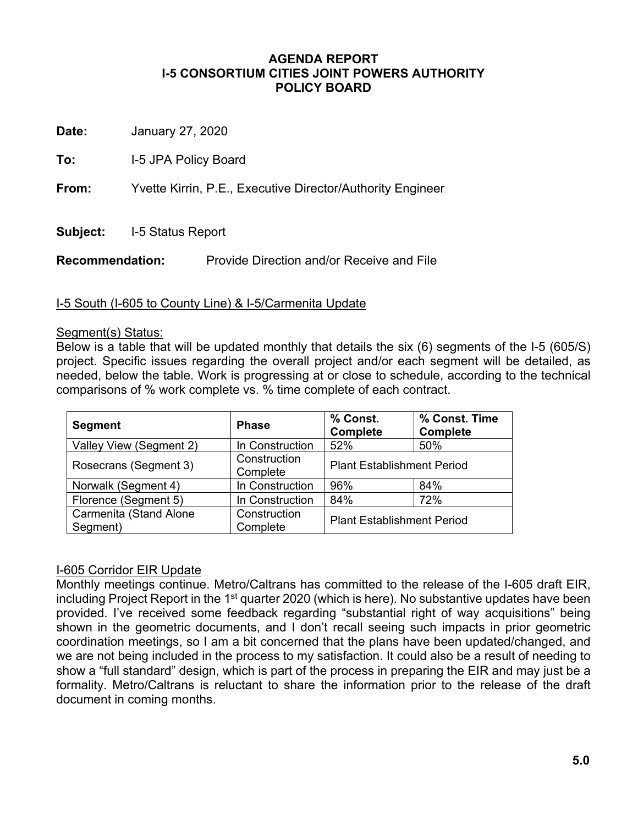**Date:** January 27, 2020

**To:** I-5 JPA Policy Board

**From:** Yvette Kirrin, P.E., Executive Director/Authority Engineer

**Subject:** I-5 Status Report

**Recommendation:** Provide Direction and/or Receive and File

#### I-5 South (I-605 to County Line) & I-5/Carmenita Update

#### Segment(s) Status:

Below is a table that will be updated monthly that details the six (6) segments of the I-5 (605/S) project. Specific issues regarding the overall project and/or each segment will be detailed, as needed, below the table. Work is progressing at or close to schedule, according to the technical comparisons of % work complete vs. % time complete of each contract.

| <b>Segment</b>                     | <b>Phase</b>             | % Const.<br><b>Complete</b>       | % Const. Time<br><b>Complete</b> |  |
|------------------------------------|--------------------------|-----------------------------------|----------------------------------|--|
| Valley View (Segment 2)            | In Construction          | 52%                               | 50%                              |  |
| Rosecrans (Segment 3)              | Construction<br>Complete | <b>Plant Establishment Period</b> |                                  |  |
| Norwalk (Segment 4)                | In Construction          | 96%                               | 84%                              |  |
| Florence (Segment 5)               | In Construction          | 84%                               | 72%                              |  |
| Carmenita (Stand Alone<br>Segment) | Construction<br>Complete | <b>Plant Establishment Period</b> |                                  |  |

#### I-605 Corridor EIR Update

Monthly meetings continue. Metro/Caltrans has committed to the release of the I-605 draft EIR, including Project Report in the 1<sup>st</sup> quarter 2020 (which is here). No substantive updates have been provided. I've received some feedback regarding "substantial right of way acquisitions" being shown in the geometric documents, and I don't recall seeing such impacts in prior geometric coordination meetings, so I am a bit concerned that the plans have been updated/changed, and we are not being included in the process to my satisfaction. It could also be a result of needing to show a "full standard" design, which is part of the process in preparing the EIR and may just be a formality. Metro/Caltrans is reluctant to share the information prior to the release of the draft document in coming months.